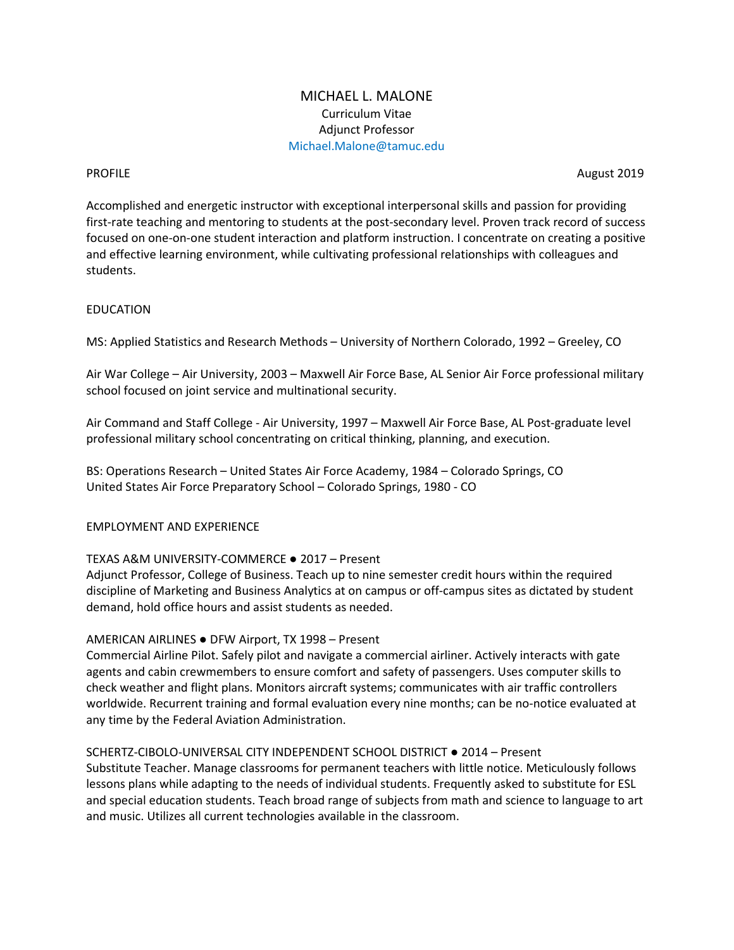# MICHAEL L. MALONE Curriculum Vitae Adjunct Professor Michael.Malone@tamuc.edu

**PROFILE** August 2019

Accomplished and energetic instructor with exceptional interpersonal skills and passion for providing first-rate teaching and mentoring to students at the post-secondary level. Proven track record of success focused on one-on-one student interaction and platform instruction. I concentrate on creating a positive and effective learning environment, while cultivating professional relationships with colleagues and students.

## EDUCATION

MS: Applied Statistics and Research Methods – University of Northern Colorado, 1992 – Greeley, CO

Air War College – Air University, 2003 – Maxwell Air Force Base, AL Senior Air Force professional military school focused on joint service and multinational security.

Air Command and Staff College - Air University, 1997 – Maxwell Air Force Base, AL Post-graduate level professional military school concentrating on critical thinking, planning, and execution.

BS: Operations Research – United States Air Force Academy, 1984 – Colorado Springs, CO United States Air Force Preparatory School – Colorado Springs, 1980 - CO

## EMPLOYMENT AND EXPERIENCE

## TEXAS A&M UNIVERSITY-COMMERCE ● 2017 – Present

Adjunct Professor, College of Business. Teach up to nine semester credit hours within the required discipline of Marketing and Business Analytics at on campus or off-campus sites as dictated by student demand, hold office hours and assist students as needed.

## AMERICAN AIRLINES ● DFW Airport, TX 1998 – Present

Commercial Airline Pilot. Safely pilot and navigate a commercial airliner. Actively interacts with gate agents and cabin crewmembers to ensure comfort and safety of passengers. Uses computer skills to check weather and flight plans. Monitors aircraft systems; communicates with air traffic controllers worldwide. Recurrent training and formal evaluation every nine months; can be no-notice evaluated at any time by the Federal Aviation Administration.

#### SCHERTZ-CIBOLO-UNIVERSAL CITY INDEPENDENT SCHOOL DISTRICT ● 2014 – Present

Substitute Teacher. Manage classrooms for permanent teachers with little notice. Meticulously follows lessons plans while adapting to the needs of individual students. Frequently asked to substitute for ESL and special education students. Teach broad range of subjects from math and science to language to art and music. Utilizes all current technologies available in the classroom.